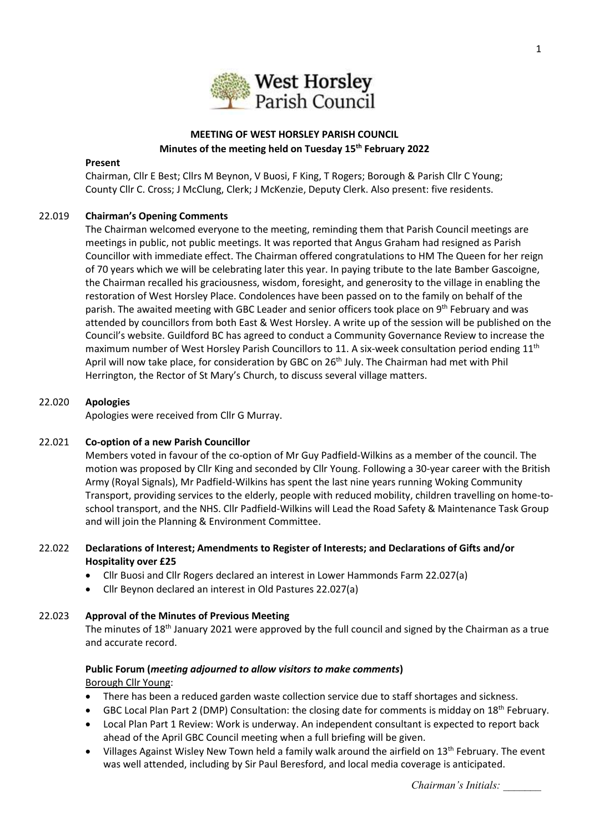

# **MEETING OF WEST HORSLEY PARISH COUNCIL Minutes of the meeting held on Tuesday 15 th February 2022**

#### **Present**

Chairman, Cllr E Best; Cllrs M Beynon, V Buosi, F King, T Rogers; Borough & Parish Cllr C Young; County Cllr C. Cross; J McClung, Clerk; J McKenzie, Deputy Clerk. Also present: five residents.

### 22.019 **Chairman's Opening Comments**

The Chairman welcomed everyone to the meeting, reminding them that Parish Council meetings are meetings in public, not public meetings. It was reported that Angus Graham had resigned as Parish Councillor with immediate effect. The Chairman offered congratulations to HM The Queen for her reign of 70 years which we will be celebrating later this year. In paying tribute to the late Bamber Gascoigne, the Chairman recalled his graciousness, wisdom, foresight, and generosity to the village in enabling the restoration of West Horsley Place. Condolences have been passed on to the family on behalf of the parish. The awaited meeting with GBC Leader and senior officers took place on  $9<sup>th</sup>$  February and was attended by councillors from both East & West Horsley. A write up of the session will be published on the Council's website. Guildford BC has agreed to conduct a Community Governance Review to increase the maximum number of West Horsley Parish Councillors to 11. A six-week consultation period ending 11<sup>th</sup> April will now take place, for consideration by GBC on 26<sup>th</sup> July. The Chairman had met with Phil Herrington, the Rector of St Mary's Church, to discuss several village matters.

#### 22.020 **Apologies**

Apologies were received from Cllr G Murray.

### 22.021 **Co-option of a new Parish Councillor**

Members voted in favour of the co-option of Mr Guy Padfield-Wilkins as a member of the council. The motion was proposed by Cllr King and seconded by Cllr Young. Following a 30-year career with the British Army (Royal Signals), Mr Padfield-Wilkins has spent the last nine years running Woking Community Transport, providing services to the elderly, people with reduced mobility, children travelling on home-toschool transport, and the NHS. Cllr Padfield-Wilkins will Lead the Road Safety & Maintenance Task Group and will join the Planning & Environment Committee.

# 22.022 **Declarations of Interest; Amendments to Register of Interests; and Declarations of Gifts and/or Hospitality over £25**

- Cllr Buosi and Cllr Rogers declared an interest in Lower Hammonds Farm 22.027(a)
- Cllr Beynon declared an interest in Old Pastures 22.027(a)

### 22.023 **Approval of the Minutes of Previous Meeting**

The minutes of 18<sup>th</sup> January 2021 were approved by the full council and signed by the Chairman as a true and accurate record.

### **Public Forum (***meeting adjourned to allow visitors to make comments***)** Borough Cllr Young:

- There has been a reduced garden waste collection service due to staff shortages and sickness.
- GBC Local Plan Part 2 (DMP) Consultation: the closing date for comments is midday on 18<sup>th</sup> February.
- Local Plan Part 1 Review: Work is underway. An independent consultant is expected to report back ahead of the April GBC Council meeting when a full briefing will be given.
- Villages Against Wisley New Town held a family walk around the airfield on 13<sup>th</sup> February. The event was well attended, including by Sir Paul Beresford, and local media coverage is anticipated.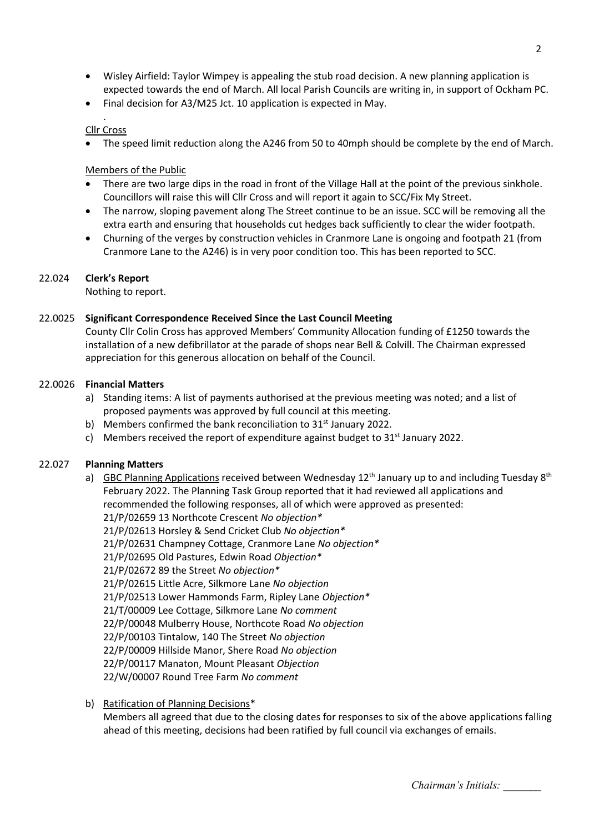- Wisley Airfield: Taylor Wimpey is appealing the stub road decision. A new planning application is expected towards the end of March. All local Parish Councils are writing in, in support of Ockham PC.
- Final decision for A3/M25 Jct. 10 application is expected in May.

#### . Cllr Cross

• The speed limit reduction along the A246 from 50 to 40mph should be complete by the end of March.

# Members of the Public

- There are two large dips in the road in front of the Village Hall at the point of the previous sinkhole. Councillors will raise this will Cllr Cross and will report it again to SCC/Fix My Street.
- The narrow, sloping pavement along The Street continue to be an issue. SCC will be removing all the extra earth and ensuring that households cut hedges back sufficiently to clear the wider footpath.
- Churning of the verges by construction vehicles in Cranmore Lane is ongoing and footpath 21 (from Cranmore Lane to the A246) is in very poor condition too. This has been reported to SCC.

# 22.024 **Clerk's Report**

Nothing to report.

### 22.0025 **Significant Correspondence Received Since the Last Council Meeting**

County Cllr Colin Cross has approved Members' Community Allocation funding of £1250 towards the installation of a new defibrillator at the parade of shops near Bell & Colvill. The Chairman expressed appreciation for this generous allocation on behalf of the Council.

# 22.0026 **Financial Matters**

- a) Standing items: A list of payments authorised at the previous meeting was noted; and a list of proposed payments was approved by full council at this meeting.
- b) Members confirmed the bank reconciliation to  $31<sup>st</sup>$  January 2022.
- c) Members received the report of expenditure against budget to  $31<sup>st</sup>$  January 2022.

### 22.027 **Planning Matters**

- a) GBC Planning Applications received between Wednesday 12<sup>th</sup> January up to and including Tuesday 8<sup>th</sup> February 2022. The Planning Task Group reported that it had reviewed all applications and recommended the following responses, all of which were approved as presented: 21/P/02659 13 Northcote Crescent *No objection\** 21/P/02613 Horsley & Send Cricket Club *No objection\** 21/P/02631 Champney Cottage, Cranmore Lane *No objection\** 21/P/02695 Old Pastures, Edwin Road *Objection\** 21/P/02672 89 the Street *No objection\** 21/P/02615 Little Acre, Silkmore Lane *No objection* 21/P/02513 Lower Hammonds Farm, Ripley Lane *Objection\** 21/T/00009 Lee Cottage, Silkmore Lane *No comment* 22/P/00048 Mulberry House, Northcote Road *No objection* 22/P/00103 Tintalow, 140 The Street *No objection* 22/P/00009 Hillside Manor, Shere Road *No objection*
	- 22/P/00117 Manaton, Mount Pleasant *Objection* 22/W/00007 Round Tree Farm *No comment*
- b) Ratification of Planning Decisions\*

Members all agreed that due to the closing dates for responses to six of the above applications falling ahead of this meeting, decisions had been ratified by full council via exchanges of emails.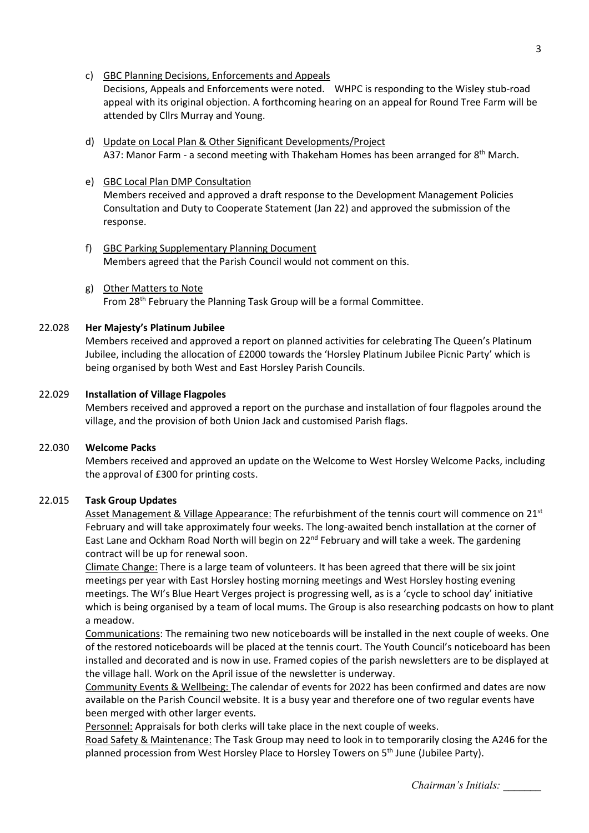c) GBC Planning Decisions, Enforcements and Appeals

Decisions, Appeals and Enforcements were noted. WHPC is responding to the Wisley stub-road appeal with its original objection. A forthcoming hearing on an appeal for Round Tree Farm will be attended by Cllrs Murray and Young.

- d) Update on Local Plan & Other Significant Developments/Project A37: Manor Farm - a second meeting with Thakeham Homes has been arranged for 8<sup>th</sup> March.
- e) GBC Local Plan DMP Consultation Members received and approved a draft response to the Development Management Policies Consultation and Duty to Cooperate Statement (Jan 22) and approved the submission of the response.
- f) GBC Parking Supplementary Planning Document Members agreed that the Parish Council would not comment on this.
- g) Other Matters to Note From 28<sup>th</sup> February the Planning Task Group will be a formal Committee.

### 22.028 **Her Majesty's Platinum Jubilee**

Members received and approved a report on planned activities for celebrating The Queen's Platinum Jubilee, including the allocation of £2000 towards the 'Horsley Platinum Jubilee Picnic Party' which is being organised by both West and East Horsley Parish Councils.

### 22.029 **Installation of Village Flagpoles**

Members received and approved a report on the purchase and installation of four flagpoles around the village, and the provision of both Union Jack and customised Parish flags.

### 22.030 **Welcome Packs**

Members received and approved an update on the Welcome to West Horsley Welcome Packs, including the approval of £300 for printing costs.

### 22.015 **Task Group Updates**

Asset Management & Village Appearance: The refurbishment of the tennis court will commence on 21<sup>st</sup> February and will take approximately four weeks. The long-awaited bench installation at the corner of East Lane and Ockham Road North will begin on 22<sup>nd</sup> February and will take a week. The gardening contract will be up for renewal soon.

Climate Change: There is a large team of volunteers. It has been agreed that there will be six joint meetings per year with East Horsley hosting morning meetings and West Horsley hosting evening meetings. The WI's Blue Heart Verges project is progressing well, as is a 'cycle to school day' initiative which is being organised by a team of local mums. The Group is also researching podcasts on how to plant a meadow.

Communications: The remaining two new noticeboards will be installed in the next couple of weeks. One of the restored noticeboards will be placed at the tennis court. The Youth Council's noticeboard has been installed and decorated and is now in use. Framed copies of the parish newsletters are to be displayed at the village hall. Work on the April issue of the newsletter is underway.

Community Events & Wellbeing: The calendar of events for 2022 has been confirmed and dates are now available on the Parish Council website. It is a busy year and therefore one of two regular events have been merged with other larger events.

Personnel: Appraisals for both clerks will take place in the next couple of weeks.

Road Safety & Maintenance: The Task Group may need to look in to temporarily closing the A246 for the planned procession from West Horsley Place to Horsley Towers on 5<sup>th</sup> June (Jubilee Party).